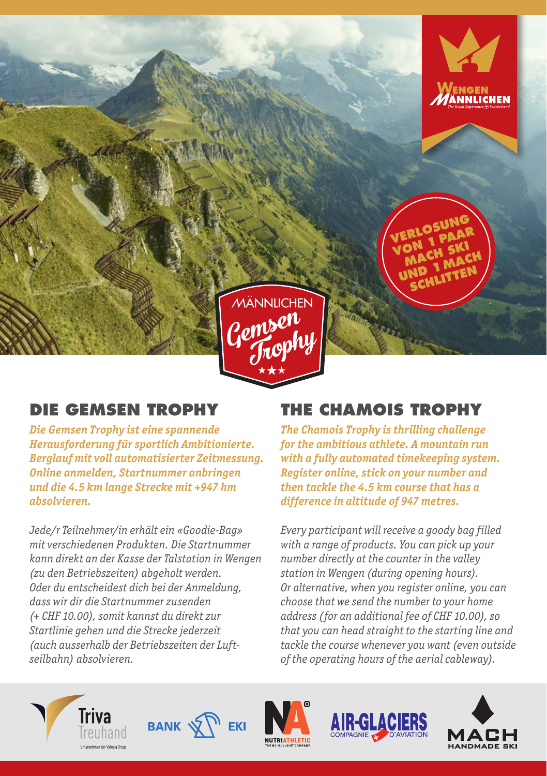

## **DIE GEMSEN TROPHY**

*Die Gemsen Trophy ist eine spannende Herausforderung für sportlich Ambitionierte. Berglauf mit voll automatisierter Zeitmessung. Online anmelden, Startnummer anbringen und die 4.5 km lange Strecke mit +947 hm absolvieren.* 

*Jede/r Teilnehmer/in erhält ein «Goodie-Bag» mit verschiedenen Produkten. Die Startnummer kann direkt an der Kasse der Talstation in Wengen (zu den Betriebszeiten) abgeholt werden. Oder du entscheidest dich bei der Anmeldung, dass wir dir die Startnummer zusenden (+ CHF 10.00), somit kannst du direkt zur Startlinie gehen und die Strecke jederzeit (auch ausserhalb der Betriebszeiten der Luftseilbahn) absolvieren.*

## **THE CHAMOIS TROPHY**

*The Chamois Trophy is thrilling challenge for the ambitious athlete. A mountain run with a fully automated timekeeping system. Register online, stick on your number and then tackle the 4.5 km course that has a difference in altitude of 947 metres.* 

*Every participant will receive a goody bag filled with a range of products. You can pick up your number directly at the counter in the valley station in Wengen (during opening hours). Or alternative, when you register online, you can choose that we send the number to your home address (for an additional fee of CHF 10.00), so that you can head straight to the starting line and tackle the course whenever you want (even outside of the operating hours of the aerial cableway).*